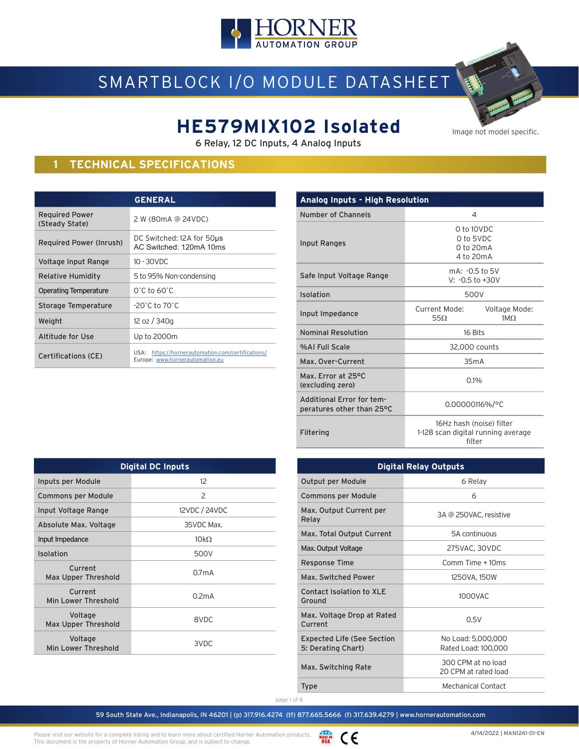

# SMARTBLOCK I/O MODULE DATASHEET

# **HE579MIX102 Isolated**

6 Relay, 12 DC Inputs, 4 Analog Inputs

### **1 TECHNICAL SPECIFICATIONS**

|                                         | <b>GENERAL</b>                                                                       |  |  |
|-----------------------------------------|--------------------------------------------------------------------------------------|--|--|
| <b>Required Power</b><br>(Steady State) | 2 W (80mA @ 24VDC)                                                                   |  |  |
| Required Power (Inrush)                 | DC Switched: 12A for 50us<br>AC Switched: 120mA 10ms                                 |  |  |
| Voltage Input Range                     | $10 - 30$ VDC                                                                        |  |  |
| Relative Humidity                       | 5 to 95% Non-condensing                                                              |  |  |
| Operating Temperature                   | $0^\circ$ C to 60 $^\circ$ C                                                         |  |  |
| Storage Temperature                     | $-20^{\circ}$ C to $70^{\circ}$ C                                                    |  |  |
| Weight                                  | 12 oz / 340g                                                                         |  |  |
| Altitude for Use                        | Up to 2000m                                                                          |  |  |
| <b>Certifications (CE)</b>              | USA: https://hornerautomation.com/certifications/<br>Europe: www.hornerautomation.eu |  |  |

**Digital DC Inputs**

Inputs per Module 12 Commons per Module 2 Input Voltage Range 12VDC / 24VDC Absolute Max. Voltage 35VDC Max. Input Impedance  $10k\Omega$ Isolation 500V

Max Upper Threshold 0.7mA

Min Lower Threshold 0.2mA

voltage<br>Max Upper Threshold 8VDC

voltage<br>Min Lower Threshold 3VDC

Current

Current

Voltage

Voltage

| <b>Analog Inputs - High Resolution</b>                 |                                                                          |  |  |  |  |
|--------------------------------------------------------|--------------------------------------------------------------------------|--|--|--|--|
| Number of Channels                                     | 4                                                                        |  |  |  |  |
| Input Ranges                                           | 0 to 10VDC<br>0 to 5VDC<br>0 to 20mA<br>4 to 20mA                        |  |  |  |  |
| Safe Input Voltage Range                               | mA: -0.5 to 5V<br>$V: -0.5$ to $+30V$                                    |  |  |  |  |
| Isolation                                              | 500V                                                                     |  |  |  |  |
| Input Impedance                                        | Current Mode:<br>Voltage Mode:<br>$55\Omega$<br>1MO                      |  |  |  |  |
| <b>Nominal Resolution</b>                              | 16 Bits                                                                  |  |  |  |  |
| %AL Full Scale                                         | 32,000 counts                                                            |  |  |  |  |
| Max. Over-Current                                      | 35mA                                                                     |  |  |  |  |
| Max. Error at 25°C<br>(excluding zero)                 | 0.1%                                                                     |  |  |  |  |
| Additional Error for tem-<br>peratures other than 25°C | 0.00000116%/°C                                                           |  |  |  |  |
| Filtering                                              | 16Hz hash (noise) filter<br>1-128 scan digital running average<br>filter |  |  |  |  |

|                                                         | <b>Digital Relay Outputs</b>               |  |
|---------------------------------------------------------|--------------------------------------------|--|
| Output per Module                                       | 6 Relay                                    |  |
| Commons per Module                                      | 6                                          |  |
| Max. Output Current per<br>Relay                        | 3A @ 250VAC, resistive                     |  |
| Max. Total Output Current                               | 5A continuous                              |  |
| Max. Output Voltage                                     | 275VAC, 30VDC                              |  |
| Response Time                                           | $Comm$ Time $+10ms$                        |  |
| Max. Switched Power                                     | 1250VA, 150W                               |  |
| Contact Isolation to XLE<br>Ground                      | 1000VAC                                    |  |
| Max. Voltage Drop at Rated<br>Current                   | 0.5V                                       |  |
| <b>Expected Life (See Section</b><br>5: Derating Chart) | No Load: 5,000,000<br>Rated Load: 100,000  |  |
| Max. Switching Rate                                     | 300 CPM at no load<br>20 CPM at rated load |  |
| <b>Type</b>                                             | Mechanical Contact                         |  |
|                                                         |                                            |  |

page 1 of 6



Image not model specific.

WADE IN CE Please visit our website for a complete listing and to learn more about certified Horner Automation products. This document is the property of Horner Automation Group, and is subject to change.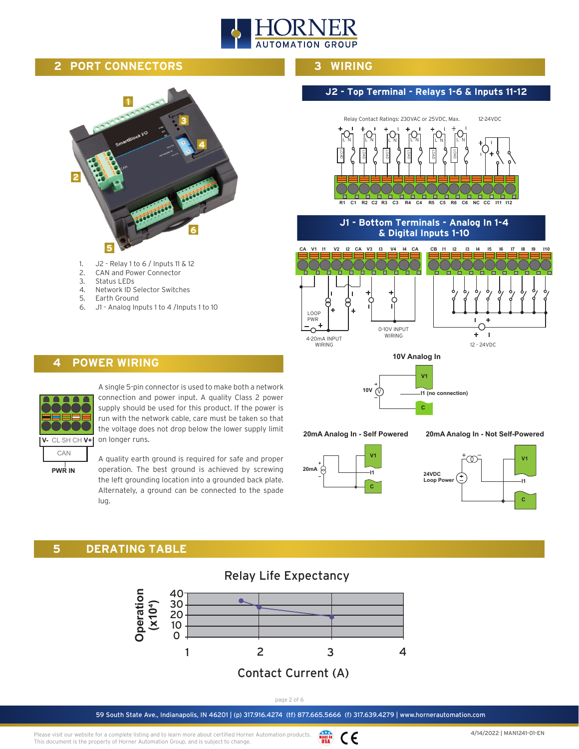

### **2 PORT CONNECTORS**



- 1. J2 Relay 1 to 6 / Inputs 11 & 12
- 2. CAN and Power Connector
- 3. Status LEDs 4. Network ID Selector Switches
- 5. Earth Ground
- 6. J1 Analog Inputs 1 to 4 /Inputs 1 to 10

#### **3 WIRING**

### **J2 - Top Terminal - Relays 1-6 & Inputs 11-12**



**R1 C1 R2 C2 R3 C3 R4 C4 R5 C5 R6 C6 NC CC I11 I12** 

**J1 - Bottom Terminals - Analog In 1-4 & Digital Inputs 1-10**







**20mA Analog In - Self Powered**

**20mA Analog In - Not Self-Powered**





### **4 POWER WIRING**



A single 5-pin connector is used to make both a network connection and power input. A quality Class 2 power supply should be used for this product. If the power is run with the network cable, care must be taken so that the voltage does not drop below the lower supply limit on longer runs.

**PWR IN**

A quality earth ground is required for safe and proper operation. The best ground is achieved by screwing the left grounding location into a grounded back plate. Alternately, a ground can be connected to the spade lug.

### **5 DERATING TABLE**



page 2 of 6

59 South State Ave., Indianapolis, IN 46201 | (p) 317.916.4274 (tf) 877.665.5666 (f) 317.639.4279 | www.hornerautomation.com

Please visit our website for a complete listing and to learn more about certified Horner Automation products. WADE IN CE This document is the property of Horner Automation Group, and is subject to change.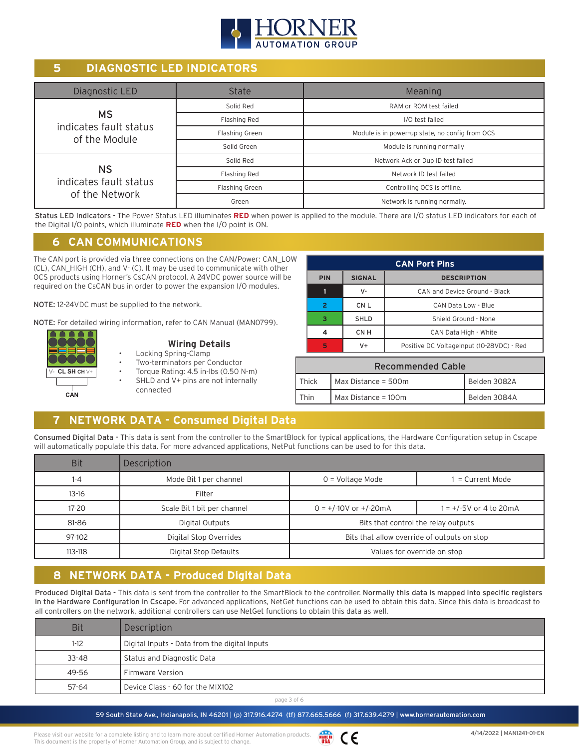

### **5 DIAGNOSTIC LED INDICATORS**

| Diagnostic LED                          | <b>State</b>                                   | Meaning                                         |  |
|-----------------------------------------|------------------------------------------------|-------------------------------------------------|--|
|                                         | Solid Red                                      | RAM or ROM test failed                          |  |
| <b>MS</b>                               | Flashing Red                                   | I/O test failed                                 |  |
| indicates fault status<br>of the Module | Flashing Green                                 | Module is in power-up state, no config from OCS |  |
|                                         | Solid Green                                    | Module is running normally                      |  |
|                                         | Solid Red<br>Network Ack or Dup ID test failed |                                                 |  |
| <b>NS</b>                               | Flashing Red                                   | Network ID test failed                          |  |
| indicates fault status                  | Flashing Green                                 | Controlling OCS is offline.                     |  |
| of the Network                          | Green                                          | Network is running normally.                    |  |

Status LED Indicators - The Power Status LED illuminates RED when power is applied to the module. There are I/O status LED indicators for each of the Digital I/O points, which illuminate **RED** when the I/O point is ON.

### **6 CAN COMMUNICATIONS**

The CAN port is provided via three connections on the CAN/Power: CAN\_LOW (CL), CAN\_HIGH (CH), and V- (C). It may be used to communicate with other OCS products using Horner's CsCAN protocol. A 24VDC power source will be required on the CsCAN bus in order to power the expansion I/O modules.

NOTE: 12-24VDC must be supplied to the network.

NOTE: For detailed wiring information, refer to CAN Manual (MAN0799).



### **Wiring Details**

- Locking Spring-Clamp
- Two-terminators per Conductor
- Torque Rating: 4.5 in-lbs (0.50 N-m)

• SHLD and V+ pins are not internally connected

| <b>CAN Port Pins</b>                              |                                     |                                           |  |
|---------------------------------------------------|-------------------------------------|-------------------------------------------|--|
| <b>SIGNAL</b><br><b>PIN</b><br><b>DESCRIPTION</b> |                                     |                                           |  |
|                                                   | v-                                  | CAN and Device Ground - Black             |  |
| 2                                                 | CN <sub>L</sub>                     | CAN Data Low - Blue                       |  |
| ್                                                 | <b>SHLD</b><br>Shield Ground - None |                                           |  |
|                                                   | CN <sub>H</sub>                     | CAN Data High - White                     |  |
| 5                                                 | $V +$                               | Positive DC VoltageInput (10-28VDC) - Red |  |

| <b>Recommended Cable</b>                     |                                     |  |  |  |  |  |
|----------------------------------------------|-------------------------------------|--|--|--|--|--|
| Max Distance = 500m<br>Belden 3082A<br>Thick |                                     |  |  |  |  |  |
| `hin                                         | Max Distance = 100m<br>Belden 3084A |  |  |  |  |  |

### **7 NETWORK DATA - Consumed Digital Data**

Consumed Digital Data - This data is sent from the controller to the SmartBlock for typical applications, the Hardware Configuration setup in Cscape will automatically populate this data. For more advanced applications, NetPut functions can be used to for this data.

| <b>Bit</b>  | Description                                                           |                           |                          |  |
|-------------|-----------------------------------------------------------------------|---------------------------|--------------------------|--|
| $1 - 4$     | Mode Bit 1 per channel<br>= Current Mode<br>$0 =$ Voltage Mode        |                           |                          |  |
| $13 - 16$   | Filter                                                                |                           |                          |  |
| $17 - 20$   | Scale Bit 1 bit per channel                                           | $0 = +/-10V$ or $+/-20mA$ | $1 = +/-5V$ or 4 to 20mA |  |
| 81-86       | Bits that control the relay outputs<br>Digital Outputs                |                           |                          |  |
| 97-102      | Digital Stop Overrides<br>Bits that allow override of outputs on stop |                           |                          |  |
| $113 - 118$ | Digital Stop Defaults<br>Values for override on stop                  |                           |                          |  |

### **8 NETWORK DATA - Produced Digital Data**

Produced Digital Data - This data is sent from the controller to the SmartBlock to the controller. Normally this data is mapped into specific registers in the Hardware Configuration in Cscape. For advanced applications, NetGet functions can be used to obtain this data. Since this data is broadcast to all controllers on the network, additional controllers can use NetGet functions to obtain this data as well.

| <b>Bit</b> | Description                                   |
|------------|-----------------------------------------------|
| $1-12$     | Digital Inputs - Data from the digital Inputs |
| $33 - 48$  | Status and Diagnostic Data                    |
| 49-56      | <b>Firmware Version</b>                       |
| $57 - 64$  | Device Class - 60 for the MIX102              |

page 3 of 6

59 South State Ave., Indianapolis, IN 46201 | (p) 317.916.4274 (tf) 877.665.5666 (f) 317.639.4279 | www.hornerautomation.com

Please visit our website for a complete listing and to learn more about certified Horner Automation products. This document is the property of Horner Automation Group, and is subject to change.

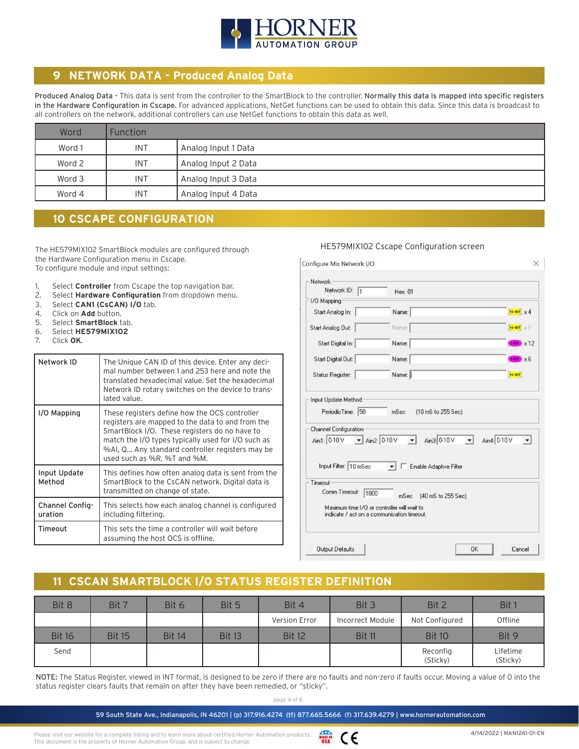

### **9 NETWORK DATA - Produced Analog Data**

Produced Analog Data - This data is sent from the controller to the SmartBlock to the controller. Normally this data is mapped into specific registers in the Hardware Configuration in Cscape. For advanced applications, NetGet functions can be used to obtain this data. Since this data is broadcast to all controllers on the network, additional controllers can use NetGet functions to obtain this data as well.

| Word   | <b>Function</b> |                     |
|--------|-----------------|---------------------|
| Word 1 | <b>INT</b>      | Analog Input 1 Data |
| Word 2 | <b>INT</b>      | Analog Input 2 Data |
| Word 3 | <b>INT</b>      | Analog Input 3 Data |
| Word 4 | <b>INT</b>      | Analog Input 4 Data |

### **10 CSCAPE CONFIGURATION**

The HE579MIX102 SmartBlock modules are configured through the Hardware Configuration menu in Cscape. To configure module and input settings:

- 1. Select **Controller** from Cscape the top navigation bar.<br>2. Select **Hardware Configuration** from dropdown menu
- Select Hardware Configuration from dropdown menu.
- 3. Select **CAN1 (CsCAN) I/O** tab.
- 4. Click on **Add** button.
- 5. Select **SmartBlock** tab.
- 6. Select **HE579MIX102**
- 7. Click **OK**.

| Network ID                 | The Unique CAN ID of this device. Enter any deci-<br>mal number between 1 and 253 here and note the<br>translated hexadecimal value. Set the hexadecimal<br>Network ID rotary switches on the device to trans-<br>lated value.                                                             |
|----------------------------|--------------------------------------------------------------------------------------------------------------------------------------------------------------------------------------------------------------------------------------------------------------------------------------------|
| I/O Mapping                | These registers define how the OCS controller<br>registers are mapped to the data to and from the<br>SmartBlock I/O. These registers do no have to<br>match the I/O types typically used for I/O such as<br>%AI, Q Any standard controller registers may be<br>used such as %R, %T and %M. |
| Input Update<br>Method     | This defines how often analog data is sent from the<br>SmartBlock to the CsCAN network. Digital data is<br>transmitted on change of state.                                                                                                                                                 |
| Channel Config-<br>uration | This selects how each analog channel is configured<br>including filtering.                                                                                                                                                                                                                 |
| Timeout                    | This sets the time a controller will wait before<br>assuming the host OCS is offline.                                                                                                                                                                                                      |

#### HE579MIX102 Cscape Configuration screen

| Network ID: 1<br>1/0 Mapping                                     | Hex: 01                                                                  |                     |
|------------------------------------------------------------------|--------------------------------------------------------------------------|---------------------|
|                                                                  |                                                                          |                     |
| Start Analog In:                                                 | Name:                                                                    | $16 - BIT \times 4$ |
| Start Analog Out:                                                | Name:                                                                    | 16-BIT X 0          |
| Start Digital In:                                                | Name:                                                                    | $1-BT$ $\times 12$  |
| Start Digital Out:                                               | Name:                                                                    | $FBT$ $\times 6$    |
| Status Register:                                                 | Name:                                                                    | 16-BIT              |
| Input Update Method<br>PeriodicTime: 50<br>Channel Configuration | (10 mS to 255 Sec)<br>mSec                                               |                     |
| Ain1: 0-10 V                                                     | $\blacktriangleright$ Ain2: 0-10 V<br>Ain3: 0-10 V<br>$\vert$<br>$\vert$ | Ain4: 0-10 V        |
| Input Filter: 10 mSec                                            | Enable Adaptive Filter                                                   |                     |

## **11 CSCAN SMARTBLOCK I/O STATUS REGISTER DEFINITION**

| Bit 8         | Bit 7         | Bit 6         | Bit 5         | Bit 4         | Bit 3            | Bit 2                | Bit 1                |
|---------------|---------------|---------------|---------------|---------------|------------------|----------------------|----------------------|
|               |               |               |               | Version Error | Incorrect Module | Not Configured       | Offline              |
| <b>Bit 16</b> | <b>Bit 15</b> | <b>Bit 14</b> | <b>Bit 13</b> | <b>Bit 12</b> | <b>Bit 11</b>    | <b>Bit 10</b>        | Bit 9                |
| Send          |               |               |               |               |                  | Reconfig<br>(Sticky) | Lifetime<br>(Sticky) |

NOTE: The Status Register, viewed in INT format, is designed to be zero if there are no faults and non-zero if faults occur. Moving a value of 0 into the status register clears faults that remain on after they have been remedied, or "sticky".

page 4 of 6

59 South State Ave., Indianapolis, IN 46201 | (p) 317.916.4274 (tf) 877.665.5666 (f) 317.639.4279 | www.hornerautomation.com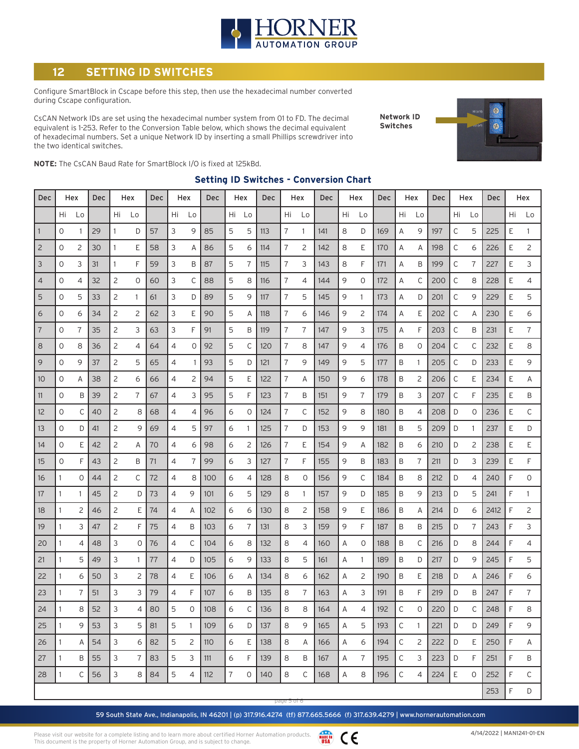

### **12 SETTING ID SWITCHES**

Configure SmartBlock in Cscape before this step, then use the hexadecimal number converted during Cscape configuration.

CsCAN Network IDs are set using the hexadecimal number system from 01 to FD. The decimal equivalent is 1-253. Refer to the Conversion Table below, which shows the decimal equivalent of hexadecimal numbers. Set a unique Network ID by inserting a small Phillips screwdriver into the two identical switches.

**Network ID Switches**



**NOTE:** The CsCAN Baud Rate for SmartBlock I/O is fixed at 125kBd.

| Dec            |              | Hex | <b>Dec</b> | Hex            |                | Dec<br>Hex |    |                | <b>Dec</b> | Hex |    | Dec | Hex            |              | <b>Dec</b> | Hex |             | <b>Dec</b> | Hex |          | <b>Dec</b> | Hex          |    | Dec  |    | Hex |
|----------------|--------------|-----|------------|----------------|----------------|------------|----|----------------|------------|-----|----|-----|----------------|--------------|------------|-----|-------------|------------|-----|----------|------------|--------------|----|------|----|-----|
|                | Hi           | Lo  |            | Hi             | Lo             |            | Hi | Lo             |            | Hi  | Lo |     | Hi             | Lo           |            | Hi  | Lo          |            | Hi  | Lo       |            | Hi           | Lo |      | Hi | Lo  |
| $\overline{1}$ | 0            |     | 29         | 1              | D              | 57         | 3  | 9              | 85         | 5   | 5  | 113 | 7              | $\mathbf{1}$ | 141        | 8   | D           | 169        | A   | 9        | 197        | C            | 5  | 225  | E  | 1   |
| $\overline{c}$ | 0            | 2   | 30         | 1              | Ε              | 58         | 3  | Α              | 86         | 5   | 6  | 114 | 7              | 2            | 142        | 8   | Ε           | 170        | Α   | Α        | 198        | С            | 6  | 226  | Ε  | 2   |
| 3              | 0            | 3   | 31         | 1              | F              | 59         | 3  | B              | 87         | 5   | 7  | 115 | 7              | 3            | 143        | 8   | F           | 171        | Α   | Β        | 199        | С            | 7  | 227  | Ε  | 3   |
| $\overline{4}$ | 0            | 4   | 32         | $\overline{c}$ | 0              | 60         | 3  | С              | 88         | 5   | 8  | 116 | 7              | 4            | 144        | 9   | 0           | 172        | Α   | С        | 200        | С            | 8  | 228  | Ε  | 4   |
| 5              | $\circ$      | 5   | 33         | 2              | 1              | 61         | 3  | D              | 89         | 5   | 9  | 117 | $\overline{7}$ | 5            | 145        | 9   | 1           | 173        | Α   | D        | 201        | C            | 9  | 229  | E  | 5   |
| 6              | 0            | 6   | 34         | 2              | 2              | 62         | 3  | Ε              | 90         | 5   | Α  | 118 | 7              | 6            | 146        | 9   | 2           | 174        | Α   | Ε        | 202        | C            | A  | 230  | Ε  | 6   |
| $\overline{7}$ | 0            | 7   | 35         | 2              | 3              | 63         | 3  | F              | 91         | 5   | Β  | 119 | 7              | 7            | 147        | 9   | 3           | 175        | Α   | F        | 203        | C            | B  | 231  | Ε  | 7   |
| 8              | 0            | 8   | 36         | 2              | 4              | 64         | 4  | 0              | 92         | 5   | C  | 120 | 7              | 8            | 147        | 9   | 4           | 176        | B   | $\circ$  | 204        | $\mathsf{C}$ | C  | 232  | Ε  | 8   |
| 9              | $\mathbf{O}$ | 9   | 37         | 2              | 5              | 65         | 4  | 1              | 93         | 5   | D  | 121 | $\overline{7}$ | 9            | 149        | 9   | 5           | 177        | B   | 1        | 205        | $\mathsf{C}$ | D  | 233  | E  | 9   |
| 10             | 0            | Α   | 38         | 2              | 6              | 66         | 4  | $\overline{c}$ | 94         | 5   | Ε  | 122 | 7              | A            | 150        | 9   | 6           | 178        | B   | 2        | 206        | $\mathsf{C}$ | E  | 234  | E  | Α   |
| 11             | $\mathbf{O}$ | B   | 39         | 2              | 7              | 67         | 4  | 3              | 95         | 5   | F  | 123 | 7              | B            | 151        | 9   | 7           | 179        | B   | 3        | 207        | C            | F  | 235  | Ε  | Β   |
| 12             | 0            | C   | 40         | 2              | 8              | 68         | 4  | $\overline{4}$ | 96         | 6   | 0  | 124 | 7              | С            | 152        | 9   | 8           | 180        | B   | 4        | 208        | D            | 0  | 236  | Ε  | С   |
| 13             | $\mathbf{O}$ | D   | 41         | $\overline{c}$ | 9              | 69         | 4  | 5              | 97         | 6   | 1  | 125 | 7              | D            | 153        | 9   | 9           | 181        | B   | 5        | 209        | D            | 1  | 237  | E  | D   |
| 14             | 0            | Ε   | 42         | 2              | Α              | 70         | 4  | 6              | 98         | 6   | 2  | 126 | 7              | E.           | 154        | 9   | Α           | 182        | B   | 6        | 210        | D            | 2  | 238  | Ε  | E   |
| 15             | 0            | F   | 43         | 2              | B              | 71         | 4  | $\overline{7}$ | 99         | 6   | 3  | 127 | 7              | F            | 155        | 9   | B           | 183        | B   | 7        | 211        | D            | 3  | 239  | E  | F   |
| 16             | 1            | 0   | 44         | 2              | С              | 72         | 4  | 8              | 100        | 6   | 4  | 128 | 8              | 0            | 156        | 9   | C           | 184        | B   | 8        | 212        | D            | 4  | 240  | F  | 0   |
| 17             | 1            | 1   | 45         | 2              | D              | 73         | 4  | 9              | 101        | 6   | 5  | 129 | 8              | 1            | 157        | 9   | D           | 185        | B   | 9        | 213        | D            | 5  | 241  | F  | 1   |
| 18             | 1            | 2   | 46         | 2              | Ε              | 74         | 4  | A              | 102        | 6   | 6  | 130 | 8              | 2            | 158        | 9   | Ε           | 186        | B   | Α        | 214        | D            | 6  | 2412 | F  | 2   |
| 19             | 1            | 3   | 47         | 2              | F              | 75         | 4  | B              | 103        | 6   | 7  | 131 | 8              | 3            | 159        | 9   | F           | 187        | B   | B        | 215        | D            | 7  | 243  | F  | 3   |
| 20             | 1            | 4   | 48         | 3              | 0              | 76         | 4  | C              | 104        | 6   | 8  | 132 | 8              | 4            | 160        | Α   | $\mathbf 0$ | 188        | B   | С        | 216        | D            | 8  | 244  | F  | 4   |
| 21             | 1            | 5   | 49         | 3              | 1              | 77         | 4  | D              | 105        | 6   | 9  | 133 | 8              | 5            | 161        | Α   | 1           | 189        | B   | D        | 217        | D            | 9  | 245  | F  | 5   |
| 22             | 1            | 6   | 50         | 3              | 2              | 78         | 4  | Ε              | 106        | 6   | Α  | 134 | 8              | 6            | 162        | A   | 2           | 190        | Β   | Ε        | 218        | D            | Α  | 246  | F  | 6   |
| 23             | 1            | 7   | 51         | 3              | 3              | 79         | 4  | F              | 107        | 6   | Β  | 135 | 8              | 7            | 163        | Α   | 3           | 191        | B   | F        | 219        | D            | B  | 247  | F  | 7   |
| 24             | 1            | 8   | 52         | 3              | 4              | 80         | 5  | 0              | 108        | 6   | C  | 136 | 8              | 8            | 164        | А   | 4           | 192        | C   | $\Omega$ | 220        | D            | C  | 248  | F  | 8   |
| 25             | $\mathbf{1}$ | 9   | 53         | 3              | 5              | 81         | 5  | 1              | 109        | 6   | D  | 137 | 8              | 9            | 165        | Α   | 5           | 193        | С   | 1        | 221        | D            | D  | 249  | F  | 9   |
| 26             | 1            | Α   | 54         | 3              | 6              | 82         | 5  | 2              | 110        | 6   | E. | 138 | 8              | A            | 166        | Α   | 6           | 194        | С   | 2        | 222        | D            | E. | 250  | F  | Α   |
| 27             | $\mathbf{1}$ | B   | 55         | 3              | $\overline{7}$ | 83         | 5  | 3              | 111        | 6   | F  | 139 | 8              | Β            | 167        | Α   | 7           | 195        | С   | 3        | 223        | D            | F  | 251  | F  | Β   |
| 28             | $\mathbf{1}$ | С   | 56         | 3              | 8              | 84         | 5  | 4              | 112        | 7   | 0  | 140 | 8              | $\mathsf C$  | 168        | Α   | 8           | 196        | C   | 4        | 224        | Ε            | 0  | 252  | F  | C   |
|                |              |     |            |                |                |            |    |                |            |     |    |     |                |              |            |     |             |            |     |          |            |              |    | 253  | F  | D   |

#### **Setting ID Switches - Conversion Chart**

59 South State Ave., Indianapolis, IN 46201 | (p) 317.916.4274 (tf) 877.665.5666 (f) 317.639.4279 | www.hornerautomation.com page 5 of 6